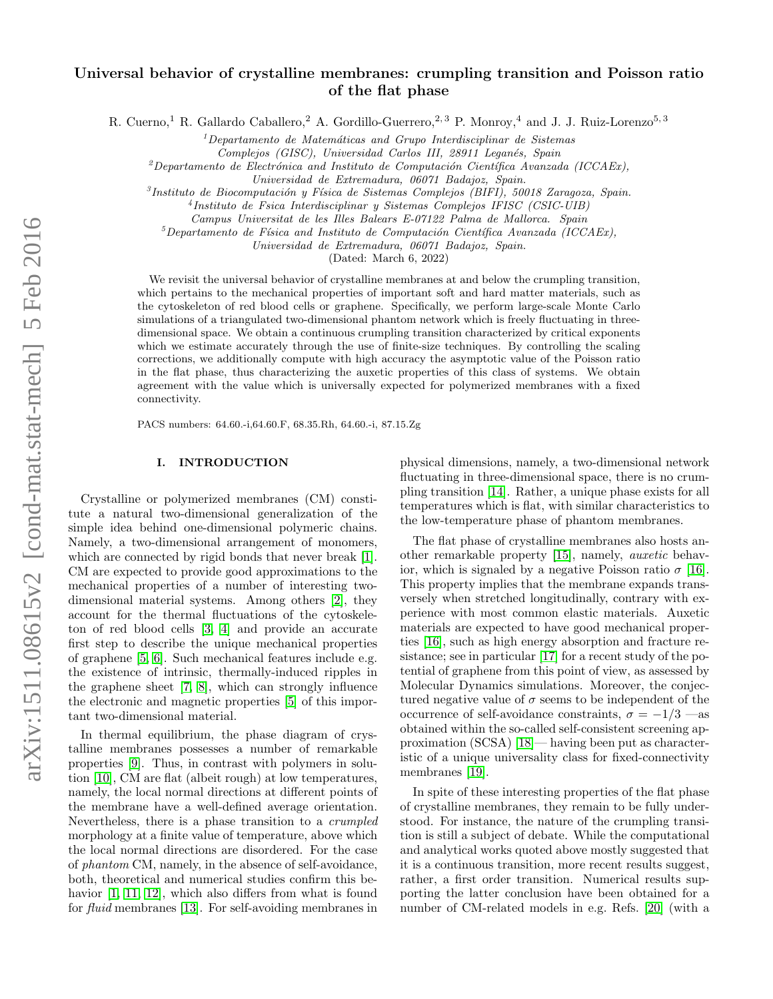# Universal behavior of crystalline membranes: crumpling transition and Poisson ratio of the flat phase

R. Cuerno,<sup>1</sup> R. Gallardo Caballero,<sup>2</sup> A. Gordillo-Guerrero,<sup>2, 3</sup> P. Monroy,<sup>4</sup> and J. J. Ruiz-Lorenzo<sup>5, 3</sup>

 $1$ Departamento de Matemáticas and Grupo Interdisciplinar de Sistemas

Complejos (GISC), Universidad Carlos III, 28911 Leganés, Spain

<sup>2</sup>Departamento de Electrónica and Instituto de Computación Científica Avanzada (ICCAEx),

<sup>3</sup> Instituto de Biocomputación y Física de Sistemas Complejos (BIFI), 50018 Zaragoza, Spain.

4 Instituto de Fsica Interdisciplinar y Sistemas Complejos IFISC (CSIC-UIB)

Campus Universitat de les Illes Balears E-07122 Palma de Mallorca. Spain

 $5$ Departamento de Física and Instituto de Computación Científica Avanzada (ICCAEx),

Universidad de Extremadura, 06071 Badajoz, Spain.

(Dated: March 6, 2022)

We revisit the universal behavior of crystalline membranes at and below the crumpling transition. which pertains to the mechanical properties of important soft and hard matter materials, such as the cytoskeleton of red blood cells or graphene. Specifically, we perform large-scale Monte Carlo simulations of a triangulated two-dimensional phantom network which is freely fluctuating in threedimensional space. We obtain a continuous crumpling transition characterized by critical exponents which we estimate accurately through the use of finite-size techniques. By controlling the scaling corrections, we additionally compute with high accuracy the asymptotic value of the Poisson ratio in the flat phase, thus characterizing the auxetic properties of this class of systems. We obtain agreement with the value which is universally expected for polymerized membranes with a fixed connectivity.

PACS numbers: 64.60.-i,64.60.F, 68.35.Rh, 64.60.-i, 87.15.Zg

### I. INTRODUCTION

Crystalline or polymerized membranes (CM) constitute a natural two-dimensional generalization of the simple idea behind one-dimensional polymeric chains. Namely, a two-dimensional arrangement of monomers, which are connected by rigid bonds that never break [\[1\]](#page-8-0). CM are expected to provide good approximations to the mechanical properties of a number of interesting twodimensional material systems. Among others [\[2\]](#page-8-1), they account for the thermal fluctuations of the cytoskeleton of red blood cells [\[3,](#page-8-2) [4\]](#page-8-3) and provide an accurate first step to describe the unique mechanical properties of graphene [\[5,](#page-8-4) [6\]](#page-8-5). Such mechanical features include e.g. the existence of intrinsic, thermally-induced ripples in the graphene sheet [\[7,](#page-8-6) [8\]](#page-8-7), which can strongly influence the electronic and magnetic properties [\[5\]](#page-8-4) of this important two-dimensional material.

In thermal equilibrium, the phase diagram of crystalline membranes possesses a number of remarkable properties [\[9\]](#page-8-8). Thus, in contrast with polymers in solution [\[10\]](#page-8-9), CM are flat (albeit rough) at low temperatures, namely, the local normal directions at different points of the membrane have a well-defined average orientation. Nevertheless, there is a phase transition to a crumpled morphology at a finite value of temperature, above which the local normal directions are disordered. For the case of phantom CM, namely, in the absence of self-avoidance, both, theoretical and numerical studies confirm this behavior  $[1, 11, 12]$  $[1, 11, 12]$  $[1, 11, 12]$ , which also differs from what is found for fluid membranes [\[13\]](#page-8-12). For self-avoiding membranes in

physical dimensions, namely, a two-dimensional network fluctuating in three-dimensional space, there is no crumpling transition [\[14\]](#page-8-13). Rather, a unique phase exists for all temperatures which is flat, with similar characteristics to the low-temperature phase of phantom membranes.

The flat phase of crystalline membranes also hosts another remarkable property [\[15\]](#page-8-14), namely, auxetic behavior, which is signaled by a negative Poisson ratio  $\sigma$  [\[16\]](#page-8-15). This property implies that the membrane expands transversely when stretched longitudinally, contrary with experience with most common elastic materials. Auxetic materials are expected to have good mechanical properties [\[16\]](#page-8-15), such as high energy absorption and fracture resistance; see in particular [\[17\]](#page-8-16) for a recent study of the potential of graphene from this point of view, as assessed by Molecular Dynamics simulations. Moreover, the conjectured negative value of  $\sigma$  seems to be independent of the occurrence of self-avoidance constraints,  $\sigma = -1/3$  —as obtained within the so-called self-consistent screening approximation (SCSA) [\[18\]](#page-8-17)— having been put as characteristic of a unique universality class for fixed-connectivity membranes [\[19\]](#page-8-18).

In spite of these interesting properties of the flat phase of crystalline membranes, they remain to be fully understood. For instance, the nature of the crumpling transition is still a subject of debate. While the computational and analytical works quoted above mostly suggested that it is a continuous transition, more recent results suggest, rather, a first order transition. Numerical results supporting the latter conclusion have been obtained for a number of CM-related models in e.g. Refs. [\[20\]](#page-8-19) (with a

Universidad de Extremadura, 06071 Badajoz, Spain.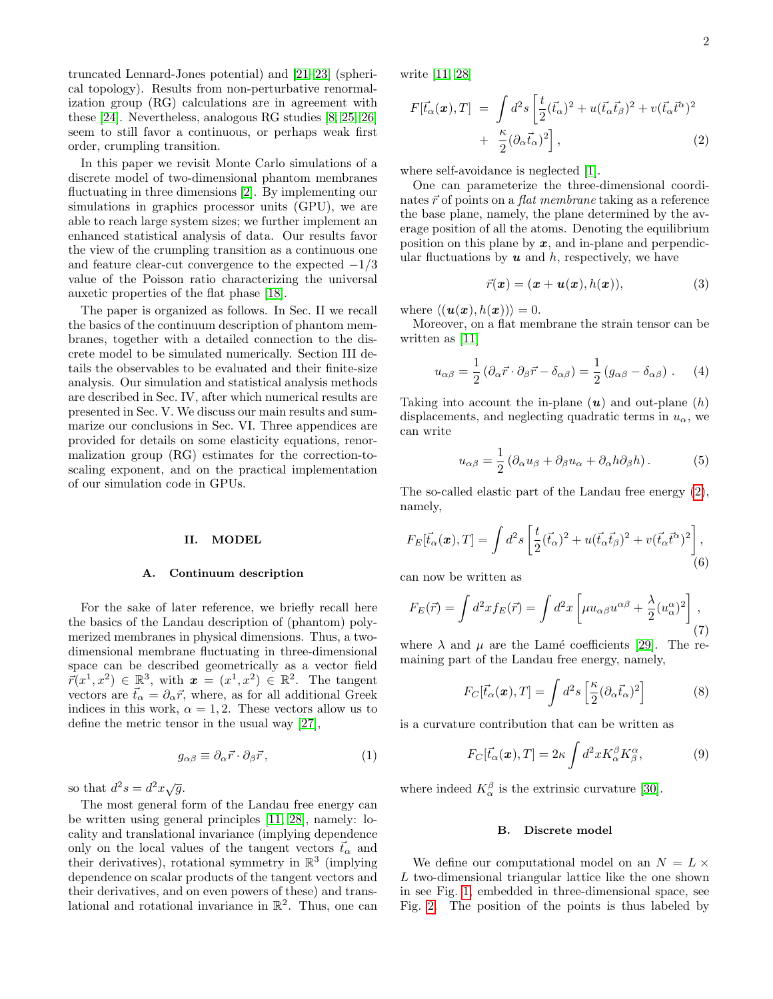truncated Lennard-Jones potential) and [\[21–](#page-8-20)[23\]](#page-8-21) (spherical topology). Results from non-perturbative renormalization group (RG) calculations are in agreement with these [\[24\]](#page-8-22). Nevertheless, analogous RG studies [\[8,](#page-8-7) [25,](#page-8-23) [26\]](#page-8-24) seem to still favor a continuous, or perhaps weak first order, crumpling transition.

In this paper we revisit Monte Carlo simulations of a discrete model of two-dimensional phantom membranes fluctuating in three dimensions [\[2\]](#page-8-1). By implementing our simulations in graphics processor units (GPU), we are able to reach large system sizes; we further implement an enhanced statistical analysis of data. Our results favor the view of the crumpling transition as a continuous one and feature clear-cut convergence to the expected  $-1/3$ value of the Poisson ratio characterizing the universal auxetic properties of the flat phase [\[18\]](#page-8-17).

The paper is organized as follows. In Sec. II we recall the basics of the continuum description of phantom membranes, together with a detailed connection to the discrete model to be simulated numerically. Section III details the observables to be evaluated and their finite-size analysis. Our simulation and statistical analysis methods are described in Sec. IV, after which numerical results are presented in Sec. V. We discuss our main results and summarize our conclusions in Sec. VI. Three appendices are provided for details on some elasticity equations, renormalization group (RG) estimates for the correction-toscaling exponent, and on the practical implementation of our simulation code in GPUs.

### II. MODEL

#### A. Continuum description

For the sake of later reference, we briefly recall here the basics of the Landau description of (phantom) polymerized membranes in physical dimensions. Thus, a twodimensional membrane fluctuating in three-dimensional space can be described geometrically as a vector field  $\overline{r}(x^1, x^2) \in \mathbb{R}^3$ , with  $\boldsymbol{x} = (x^1, x^2) \in \mathbb{R}^2$ . The tangent vectors are  $\vec{t}_{\alpha} = \partial_{\alpha}\vec{r}$ , where, as for all additional Greek indices in this work,  $\alpha = 1, 2$ . These vectors allow us to define the metric tensor in the usual way [\[27\]](#page-8-25),

$$
g_{\alpha\beta} \equiv \partial_{\alpha}\vec{r} \cdot \partial_{\beta}\vec{r},\qquad(1)
$$

so that  $d^2s = d^2x\sqrt{g}$ .

The most general form of the Landau free energy can be written using general principles [\[11,](#page-8-10) [28\]](#page-8-26), namely: locality and translational invariance (implying dependence only on the local values of the tangent vectors  $\vec{t}_{\alpha}$  and their derivatives), rotational symmetry in  $\mathbb{R}^3$  (implying dependence on scalar products of the tangent vectors and their derivatives, and on even powers of these) and translational and rotational invariance in  $\mathbb{R}^2$ . Thus, one can write [\[11,](#page-8-10) [28\]](#page-8-26)

<span id="page-1-0"></span>
$$
F[\vec{t}_{\alpha}(\boldsymbol{x}),T] = \int d^2 s \left[ \frac{t}{2} (\vec{t}_{\alpha})^2 + u (\vec{t}_{\alpha} \vec{t}_{\beta})^2 + v (\vec{t}_{\alpha} \vec{t}^{\alpha})^2 + \frac{\kappa}{2} (\partial_{\alpha} \vec{t}_{\alpha})^2 \right],
$$
\n(2)

where self-avoidance is neglected [\[1\]](#page-8-0).

One can parameterize the three-dimensional coordinates  $\vec{r}$  of points on a *flat membrane* taking as a reference the base plane, namely, the plane determined by the average position of all the atoms. Denoting the equilibrium position on this plane by  $x$ , and in-plane and perpendicular fluctuations by  $u$  and  $h$ , respectively, we have

$$
\vec{r}(\boldsymbol{x}) = (\boldsymbol{x} + \boldsymbol{u}(\boldsymbol{x}), h(\boldsymbol{x})), \tag{3}
$$

where  $\langle (\boldsymbol{u}(\boldsymbol{x}), h(\boldsymbol{x})) \rangle = 0.$ 

Moreover, on a flat membrane the strain tensor can be written as [\[11\]](#page-8-10)

$$
u_{\alpha\beta} = \frac{1}{2} \left( \partial_{\alpha} \vec{r} \cdot \partial_{\beta} \vec{r} - \delta_{\alpha\beta} \right) = \frac{1}{2} \left( g_{\alpha\beta} - \delta_{\alpha\beta} \right) . \tag{4}
$$

Taking into account the in-plane  $(u)$  and out-plane  $(h)$ displacements, and neglecting quadratic terms in  $u_{\alpha}$ , we can write

$$
u_{\alpha\beta} = \frac{1}{2} \left( \partial_{\alpha} u_{\beta} + \partial_{\beta} u_{\alpha} + \partial_{\alpha} h \partial_{\beta} h \right). \tag{5}
$$

The so-called elastic part of the Landau free energy [\(2\)](#page-1-0), namely,

$$
F_E[\vec{t}_\alpha(\boldsymbol{x}),T] = \int d^2s \left[ \frac{t}{2} (\vec{t}_\alpha)^2 + u (\vec{t}_\alpha \vec{t}_\beta)^2 + v (\vec{t}_\alpha \vec{t}^\alpha)^2 \right],\tag{6}
$$

can now be written as

<span id="page-1-1"></span>
$$
F_E(\vec{r}) = \int d^2x f_E(\vec{r}) = \int d^2x \left[ \mu u_{\alpha\beta} u^{\alpha\beta} + \frac{\lambda}{2} (u_\alpha^\alpha)^2 \right],\tag{7}
$$

where  $\lambda$  and  $\mu$  are the Lamé coefficients [\[29\]](#page-8-27). The remaining part of the Landau free energy, namely,

$$
F_C[\vec{t}_{\alpha}(\boldsymbol{x}),T] = \int d^2s \left[ \frac{\kappa}{2} (\partial_{\alpha} \vec{t}_{\alpha})^2 \right]
$$
 (8)

is a curvature contribution that can be written as

$$
F_C[\vec{t}_\alpha(\boldsymbol{x}),T] = 2\kappa \int d^2x K_\alpha^\beta K_\beta^\alpha,\tag{9}
$$

where indeed  $K_{\alpha}^{\beta}$  is the extrinsic curvature [\[30\]](#page-9-0).

### B. Discrete model

We define our computational model on an  $N = L \times$ L two-dimensional triangular lattice like the one shown in see Fig. [1,](#page-2-0) embedded in three-dimensional space, see Fig. [2.](#page-2-1) The position of the points is thus labeled by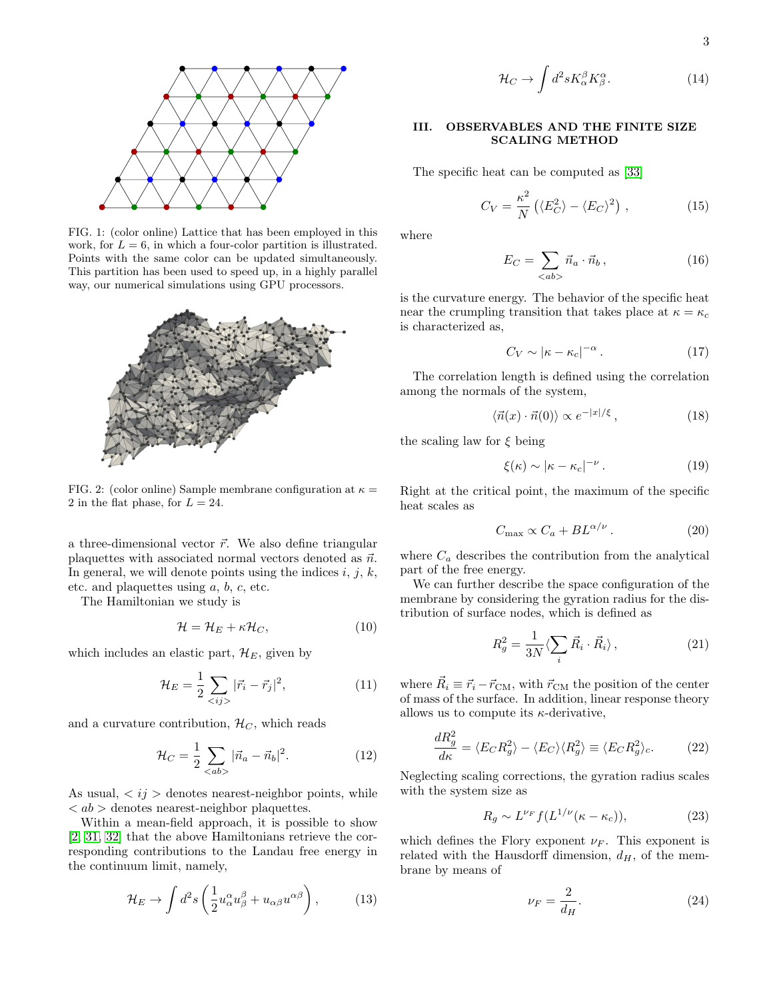$$
\overline{3}
$$

FIG. 1: (color online) Lattice that has been employed in this work, for  $L = 6$ , in which a four-color partition is illustrated. Points with the same color can be updated simultaneously. This partition has been used to speed up, in a highly parallel way, our numerical simulations using GPU processors.

<span id="page-2-0"></span>ď



<span id="page-2-1"></span>FIG. 2: (color online) Sample membrane configuration at  $\kappa =$ 2 in the flat phase, for  $L = 24$ .

a three-dimensional vector  $\vec{r}$ . We also define triangular plaquettes with associated normal vectors denoted as  $\vec{n}$ . In general, we will denote points using the indices  $i, j, k$ , etc. and plaquettes using a, b, c, etc.

The Hamiltonian we study is

$$
\mathcal{H} = \mathcal{H}_E + \kappa \mathcal{H}_C,\tag{10}
$$

which includes an elastic part,  $\mathcal{H}_E$ , given by

$$
\mathcal{H}_E = \frac{1}{2} \sum_{\langle ij \rangle} |\vec{r}_i - \vec{r}_j|^2, \tag{11}
$$

and a curvature contribution,  $\mathcal{H}_C$ , which reads

$$
\mathcal{H}_C = \frac{1}{2} \sum_{\langle ab \rangle} |\vec{n}_a - \vec{n}_b|^2.
$$
 (12)

As usual,  $\langle ij \rangle$  denotes nearest-neighbor points, while  $\langle a\rangle$  denotes nearest-neighbor plaquettes.

Within a mean-field approach, it is possible to show [\[2,](#page-8-1) [31,](#page-9-1) [32\]](#page-9-2) that the above Hamiltonians retrieve the corresponding contributions to the Landau free energy in the continuum limit, namely,

$$
\mathcal{H}_E \to \int d^2s \left( \frac{1}{2} u_\alpha^\alpha u_\beta^\beta + u_{\alpha\beta} u^{\alpha\beta} \right), \tag{13}
$$

$$
\mathcal{H}_C \to \int d^2 s K_\alpha^\beta K_\beta^\alpha. \tag{14}
$$

### III. OBSERVABLES AND THE FINITE SIZE SCALING METHOD

The specific heat can be computed as [\[33\]](#page-9-3)

$$
C_V = \frac{\kappa^2}{N} \left( \langle E_C^2 \rangle - \langle E_C \rangle^2 \right), \tag{15}
$$

where

$$
E_C = \sum_{\langle ab \rangle} \vec{n}_a \cdot \vec{n}_b , \qquad (16)
$$

is the curvature energy. The behavior of the specific heat near the crumpling transition that takes place at  $\kappa = \kappa_c$ is characterized as,

$$
C_V \sim |\kappa - \kappa_c|^{-\alpha} \,. \tag{17}
$$

The correlation length is defined using the correlation among the normals of the system,

$$
\langle \vec{n}(x) \cdot \vec{n}(0) \rangle \propto e^{-|x|/\xi}, \qquad (18)
$$

the scaling law for  $\xi$  being

$$
\xi(\kappa) \sim |\kappa - \kappa_c|^{-\nu} \,. \tag{19}
$$

Right at the critical point, the maximum of the specific heat scales as

<span id="page-2-2"></span>
$$
C_{\text{max}} \propto C_a + BL^{\alpha/\nu} \,. \tag{20}
$$

where  $C_a$  describes the contribution from the analytical part of the free energy.

We can further describe the space configuration of the membrane by considering the gyration radius for the distribution of surface nodes, which is defined as

$$
R_g^2 = \frac{1}{3N} \langle \sum_i \vec{R}_i \cdot \vec{R}_i \rangle \,, \tag{21}
$$

where  $\vec{R}_i \equiv \vec{r}_i - \vec{r}_{\text{CM}}$ , with  $\vec{r}_{\text{CM}}$  the position of the center of mass of the surface. In addition, linear response theory allows us to compute its  $\kappa$ -derivative,

$$
\frac{dR_g^2}{d\kappa} = \langle E_C R_g^2 \rangle - \langle E_C \rangle \langle R_g^2 \rangle \equiv \langle E_C R_g^2 \rangle_c. \tag{22}
$$

Neglecting scaling corrections, the gyration radius scales with the system size as

$$
R_g \sim L^{\nu_F} f(L^{1/\nu}(\kappa - \kappa_c)),\tag{23}
$$

which defines the Flory exponent  $\nu_F$ . This exponent is related with the Hausdorff dimension,  $d_H$ , of the membrane by means of

$$
\nu_F = \frac{2}{d_H}.\tag{24}
$$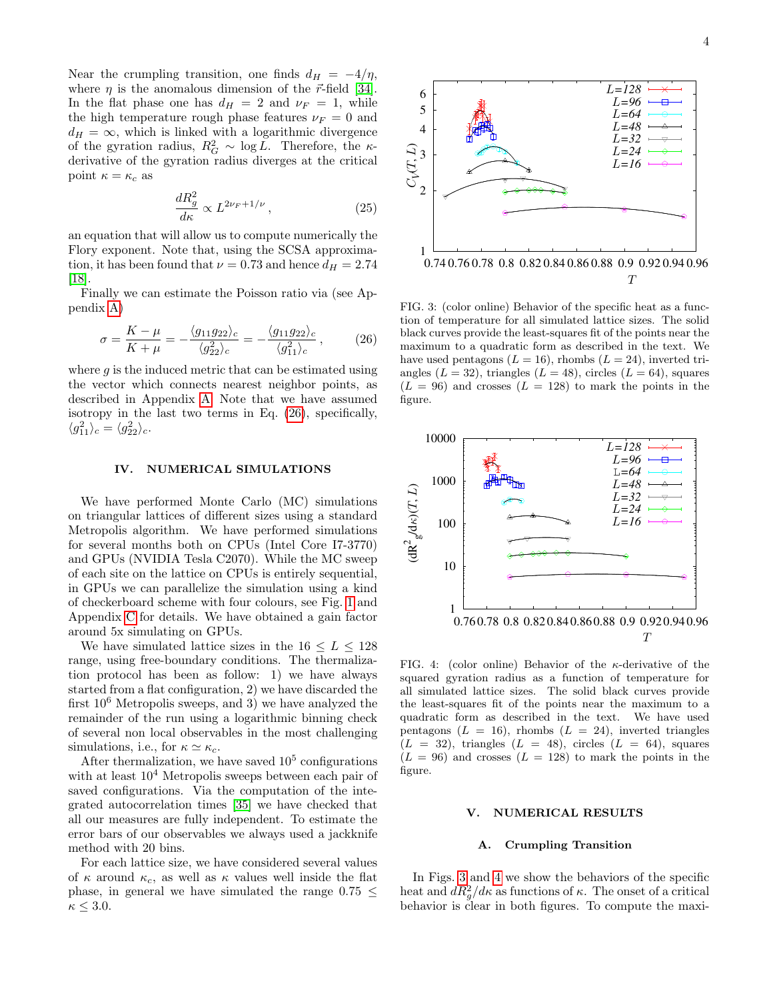Near the crumpling transition, one finds  $d_H = -4/\eta$ , where  $\eta$  is the anomalous dimension of the  $\vec{r}$ -field [\[34\]](#page-9-4). In the flat phase one has  $d_H = 2$  and  $\nu_F = 1$ , while the high temperature rough phase features  $\nu_F = 0$  and  $d_H = \infty$ , which is linked with a logarithmic divergence of the gyration radius,  $R_G^2 \sim \log L$ . Therefore, the  $\kappa$ derivative of the gyration radius diverges at the critical point  $\kappa = \kappa_c$  as

<span id="page-3-3"></span>
$$
\frac{dR_g^2}{d\kappa} \propto L^{2\nu_F + 1/\nu},\qquad(25)
$$

an equation that will allow us to compute numerically the Flory exponent. Note that, using the SCSA approximation, it has been found that  $\nu = 0.73$  and hence  $d_H = 2.74$ [\[18\]](#page-8-17).

Finally we can estimate the Poisson ratio via (see Appendix [A\)](#page-7-0)

<span id="page-3-0"></span>
$$
\sigma = \frac{K - \mu}{K + \mu} = -\frac{\langle g_{11} g_{22} \rangle_c}{\langle g_{22}^2 \rangle_c} = -\frac{\langle g_{11} g_{22} \rangle_c}{\langle g_{11}^2 \rangle_c},\tag{26}
$$

where  $g$  is the induced metric that can be estimated using the vector which connects nearest neighbor points, as described in Appendix [A.](#page-7-0) Note that we have assumed isotropy in the last two terms in Eq. [\(26\)](#page-3-0), specifically,  $\langle g_{11}^2 \rangle_c = \langle g_{22}^2 \rangle_c.$ 

### IV. NUMERICAL SIMULATIONS

We have performed Monte Carlo (MC) simulations on triangular lattices of different sizes using a standard Metropolis algorithm. We have performed simulations for several months both on CPUs (Intel Core I7-3770) and GPUs (NVIDIA Tesla C2070). While the MC sweep of each site on the lattice on CPUs is entirely sequential, in GPUs we can parallelize the simulation using a kind of checkerboard scheme with four colours, see Fig. [1](#page-2-0) and Appendix [C](#page-8-28) for details. We have obtained a gain factor around 5x simulating on GPUs.

We have simulated lattice sizes in the  $16 \le L \le 128$ range, using free-boundary conditions. The thermalization protocol has been as follow: 1) we have always started from a flat configuration, 2) we have discarded the first  $10^6$  Metropolis sweeps, and 3) we have analyzed the remainder of the run using a logarithmic binning check of several non local observables in the most challenging simulations, i.e., for  $\kappa \simeq \kappa_c$ .

After thermalization, we have saved  $10<sup>5</sup>$  configurations with at least  $10<sup>4</sup>$  Metropolis sweeps between each pair of saved configurations. Via the computation of the integrated autocorrelation times [\[35\]](#page-9-5) we have checked that all our measures are fully independent. To estimate the error bars of our observables we always used a jackknife method with 20 bins.

For each lattice size, we have considered several values of  $\kappa$  around  $\kappa_c$ , as well as  $\kappa$  values well inside the flat phase, in general we have simulated the range  $0.75 <$  $\kappa \leq 3.0$ .



<span id="page-3-1"></span>FIG. 3: (color online) Behavior of the specific heat as a function of temperature for all simulated lattice sizes. The solid black curves provide the least-squares fit of the points near the maximum to a quadratic form as described in the text. We have used pentagons ( $L = 16$ ), rhombs ( $L = 24$ ), inverted triangles ( $L = 32$ ), triangles ( $L = 48$ ), circles ( $L = 64$ ), squares  $(L = 96)$  and crosses  $(L = 128)$  to mark the points in the figure.



<span id="page-3-2"></span>FIG. 4: (color online) Behavior of the  $\kappa$ -derivative of the squared gyration radius as a function of temperature for all simulated lattice sizes. The solid black curves provide the least-squares fit of the points near the maximum to a quadratic form as described in the text. We have used pentagons  $(L = 16)$ , rhombs  $(L = 24)$ , inverted triangles  $(L = 32)$ , triangles  $(L = 48)$ , circles  $(L = 64)$ , squares  $(L = 96)$  and crosses  $(L = 128)$  to mark the points in the figure.

## V. NUMERICAL RESULTS

### A. Crumpling Transition

In Figs. [3](#page-3-1) and [4](#page-3-2) we show the behaviors of the specific heat and  $dR_g^2/d\kappa$  as functions of  $\kappa$ . The onset of a critical behavior is clear in both figures. To compute the maxi-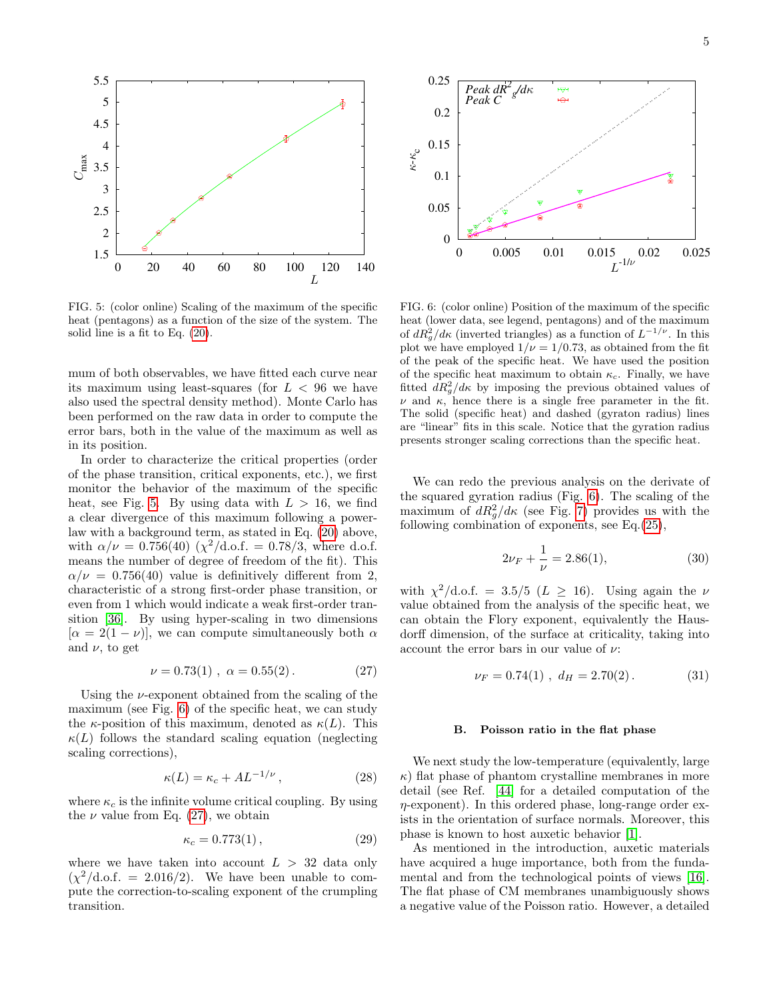

<span id="page-4-0"></span>FIG. 5: (color online) Scaling of the maximum of the specific heat (pentagons) as a function of the size of the system. The solid line is a fit to Eq. [\(20\)](#page-2-2).

mum of both observables, we have fitted each curve near its maximum using least-squares (for  $L < 96$  we have also used the spectral density method). Monte Carlo has been performed on the raw data in order to compute the error bars, both in the value of the maximum as well as in its position.

In order to characterize the critical properties (order of the phase transition, critical exponents, etc.), we first monitor the behavior of the maximum of the specific heat, see Fig. [5.](#page-4-0) By using data with  $L > 16$ , we find a clear divergence of this maximum following a powerlaw with a background term, as stated in Eq. [\(20\)](#page-2-2) above, with  $\alpha/\nu = 0.756(40)$  ( $\chi^2/\text{d.o.f.} = 0.78/3$ , where d.o.f. means the number of degree of freedom of the fit). This  $\alpha/\nu = 0.756(40)$  value is definitively different from 2, characteristic of a strong first-order phase transition, or even from 1 which would indicate a weak first-order transition [\[36\]](#page-9-6). By using hyper-scaling in two dimensions  $[\alpha = 2(1 - \nu)]$ , we can compute simultaneously both  $\alpha$ and  $\nu$ , to get

<span id="page-4-2"></span>
$$
\nu = 0.73(1) , \ \alpha = 0.55(2) . \tag{27}
$$

Using the  $\nu$ -exponent obtained from the scaling of the maximum (see Fig. [6\)](#page-4-1) of the specific heat, we can study the  $\kappa$ -position of this maximum, denoted as  $\kappa(L)$ . This  $\kappa(L)$  follows the standard scaling equation (neglecting scaling corrections),

$$
\kappa(L) = \kappa_c + A L^{-1/\nu},\qquad(28)
$$

where  $\kappa_c$  is the infinite volume critical coupling. By using the  $\nu$  value from Eq. [\(27\)](#page-4-2), we obtain

$$
\kappa_c = 0.773(1) \,, \tag{29}
$$

where we have taken into account  $L > 32$  data only  $(\chi^2/\text{d.o.f.} = 2.016/2)$ . We have been unable to compute the correction-to-scaling exponent of the crumpling transition.



<span id="page-4-1"></span>FIG. 6: (color online) Position of the maximum of the specific heat (lower data, see legend, pentagons) and of the maximum of  $dR_g^2/d\kappa$  (inverted triangles) as a function of  $L^{-1/\nu}$ . In this plot we have employed  $1/\nu = 1/0.73$ , as obtained from the fit of the peak of the specific heat. We have used the position of the specific heat maximum to obtain  $\kappa_c$ . Finally, we have fitted  $dR_g^2/d\kappa$  by imposing the previous obtained values of  $\nu$  and  $\kappa$ , hence there is a single free parameter in the fit. The solid (specific heat) and dashed (gyraton radius) lines are "linear" fits in this scale. Notice that the gyration radius presents stronger scaling corrections than the specific heat.

We can redo the previous analysis on the derivate of the squared gyration radius (Fig. [6\)](#page-4-1). The scaling of the maximum of  $dR_g^2/d\kappa$  (see Fig. [7\)](#page-5-0) provides us with the following combination of exponents, see Eq.[\(25\)](#page-3-3),

$$
2\nu_F + \frac{1}{\nu} = 2.86(1),\tag{30}
$$

with  $\chi^2/\text{d.o.f.} = 3.5/5$  ( $L \geq 16$ ). Using again the  $\nu$ value obtained from the analysis of the specific heat, we can obtain the Flory exponent, equivalently the Hausdorff dimension, of the surface at criticality, taking into account the error bars in our value of  $\nu$ :

$$
\nu_F = 0.74(1) , \ d_H = 2.70(2). \tag{31}
$$

### B. Poisson ratio in the flat phase

We next study the low-temperature (equivalently, large  $\kappa$ ) flat phase of phantom crystalline membranes in more detail (see Ref. [\[44\]](#page-9-7) for a detailed computation of the η-exponent). In this ordered phase, long-range order exists in the orientation of surface normals. Moreover, this phase is known to host auxetic behavior [\[1\]](#page-8-0).

As mentioned in the introduction, auxetic materials have acquired a huge importance, both from the fundamental and from the technological points of views [\[16\]](#page-8-15). The flat phase of CM membranes unambiguously shows a negative value of the Poisson ratio. However, a detailed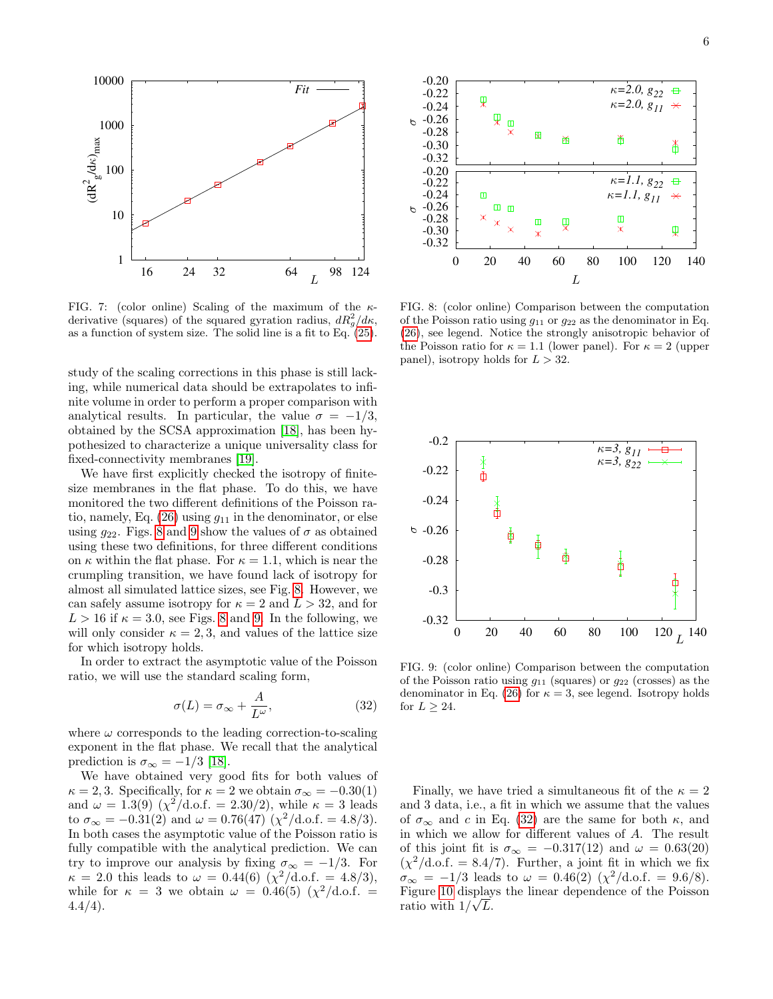

<span id="page-5-0"></span>FIG. 7: (color online) Scaling of the maximum of the  $\kappa$ derivative (squares) of the squared gyration radius,  $dR_g^2/d\kappa$ , as a function of system size. The solid line is a fit to Eq. [\(25\)](#page-3-3).

study of the scaling corrections in this phase is still lacking, while numerical data should be extrapolates to infinite volume in order to perform a proper comparison with analytical results. In particular, the value  $\sigma = -1/3$ , obtained by the SCSA approximation [\[18\]](#page-8-17), has been hypothesized to characterize a unique universality class for fixed-connectivity membranes [\[19\]](#page-8-18).

We have first explicitly checked the isotropy of finitesize membranes in the flat phase. To do this, we have monitored the two different definitions of the Poisson ratio, namely, Eq.  $(26)$  using  $g_{11}$  in the denominator, or else using  $q_{22}$ . Figs. [8](#page-5-1) and [9](#page-5-2) show the values of  $\sigma$  as obtained using these two definitions, for three different conditions on  $\kappa$  within the flat phase. For  $\kappa = 1.1$ , which is near the crumpling transition, we have found lack of isotropy for almost all simulated lattice sizes, see Fig. [8.](#page-5-1) However, we can safely assume isotropy for  $\kappa = 2$  and  $L > 32$ , and for  $L > 16$  if  $\kappa = 3.0$ , see Figs. [8](#page-5-1) and [9.](#page-5-2) In the following, we will only consider  $\kappa = 2, 3$ , and values of the lattice size for which isotropy holds.

In order to extract the asymptotic value of the Poisson ratio, we will use the standard scaling form,

<span id="page-5-3"></span>
$$
\sigma(L) = \sigma_{\infty} + \frac{A}{L^{\omega}},\tag{32}
$$

where  $\omega$  corresponds to the leading correction-to-scaling exponent in the flat phase. We recall that the analytical prediction is  $\sigma_{\infty} = -1/3$  [\[18\]](#page-8-17).

We have obtained very good fits for both values of  $\kappa = 2, 3$ . Specifically, for  $\kappa = 2$  we obtain  $\sigma_{\infty} = -0.30(1)$ and  $\omega = 1.3(9)$  ( $\chi^2/\text{d.o.f.} = 2.30/2$ ), while  $\kappa = 3$  leads to  $\sigma_{\infty} = -0.31(2)$  and  $\omega = 0.76(47)(\chi^2/\text{d.o.f.} = 4.8/3)$ . In both cases the asymptotic value of the Poisson ratio is fully compatible with the analytical prediction. We can try to improve our analysis by fixing  $\sigma_{\infty} = -1/3$ . For  $\kappa = 2.0$  this leads to  $\omega = 0.44(6) \left( \frac{\chi^2}{d.o.f.} = 4.8/3 \right)$ , while for  $\kappa = 3$  we obtain  $\omega = 0.46(5) (\chi^2/\text{d.o.f.})$  $4.4/4$ ).



<span id="page-5-1"></span>FIG. 8: (color online) Comparison between the computation of the Poisson ratio using  $g_{11}$  or  $g_{22}$  as the denominator in Eq. [\(26\)](#page-3-0), see legend. Notice the strongly anisotropic behavior of the Poisson ratio for  $\kappa = 1.1$  (lower panel). For  $\kappa = 2$  (upper panel), isotropy holds for  $L > 32$ .



<span id="page-5-2"></span>FIG. 9: (color online) Comparison between the computation of the Poisson ratio using  $g_{11}$  (squares) or  $g_{22}$  (crosses) as the denominator in Eq. [\(26\)](#page-3-0) for  $\kappa = 3$ , see legend. Isotropy holds for  $L \geq 24$ .

Finally, we have tried a simultaneous fit of the  $\kappa = 2$ and 3 data, i.e., a fit in which we assume that the values of  $\sigma_{\infty}$  and c in Eq. [\(32\)](#page-5-3) are the same for both  $\kappa$ , and in which we allow for different values of A. The result of this joint fit is  $\sigma_{\infty} = -0.317(12)$  and  $\omega = 0.63(20)$  $(\chi^2/\text{d.o.f.} = 8.4/7)$ . Further, a joint fit in which we fix  $\sigma_{\infty} = -1/3$  leads to  $\omega = 0.46(2)$  ( $\chi^2/\text{d.o.f.} = 9.6/8$ ). Figure [10](#page-6-0) displays the linear dependence of the Poisson ratio with  $1/\sqrt{L}$ .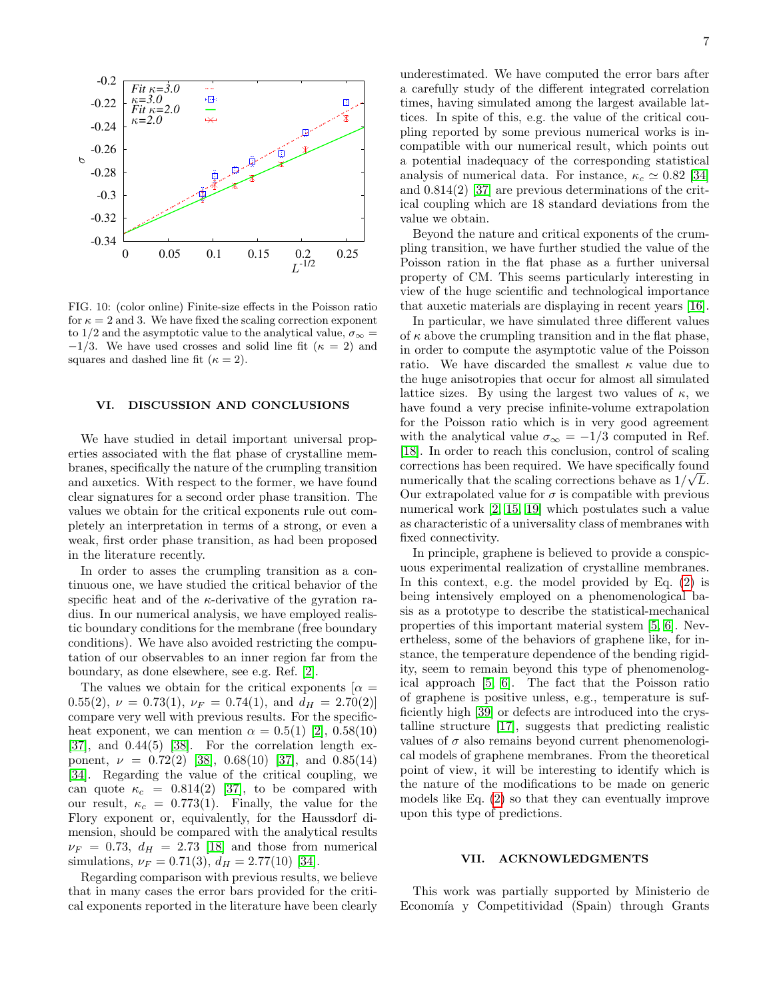

<span id="page-6-0"></span>FIG. 10: (color online) Finite-size effects in the Poisson ratio for  $\kappa = 2$  and 3. We have fixed the scaling correction exponent to 1/2 and the asymptotic value to the analytical value,  $\sigma_{\infty} =$  $-1/3$ . We have used crosses and solid line fit ( $\kappa = 2$ ) and squares and dashed line fit ( $\kappa = 2$ ).

#### VI. DISCUSSION AND CONCLUSIONS

We have studied in detail important universal properties associated with the flat phase of crystalline membranes, specifically the nature of the crumpling transition and auxetics. With respect to the former, we have found clear signatures for a second order phase transition. The values we obtain for the critical exponents rule out completely an interpretation in terms of a strong, or even a weak, first order phase transition, as had been proposed in the literature recently.

In order to asses the crumpling transition as a continuous one, we have studied the critical behavior of the specific heat and of the  $\kappa$ -derivative of the gyration radius. In our numerical analysis, we have employed realistic boundary conditions for the membrane (free boundary conditions). We have also avoided restricting the computation of our observables to an inner region far from the boundary, as done elsewhere, see e.g. Ref. [\[2\]](#page-8-1).

The values we obtain for the critical exponents  $\alpha =$ 0.55(2),  $\nu = 0.73(1)$ ,  $\nu_F = 0.74(1)$ , and  $d_H = 2.70(2)$ compare very well with previous results. For the specificheat exponent, we can mention  $\alpha = 0.5(1)$  [\[2\]](#page-8-1),  $0.58(10)$  $[37]$ , and  $0.44(5)$   $[38]$ . For the correlation length exponent,  $\nu = 0.72(2)$  [\[38\]](#page-9-9),  $0.68(10)$  [\[37\]](#page-9-8), and  $0.85(14)$ [\[34\]](#page-9-4). Regarding the value of the critical coupling, we can quote  $\kappa_c = 0.814(2)$  [\[37\]](#page-9-8), to be compared with our result,  $\kappa_c = 0.773(1)$ . Finally, the value for the Flory exponent or, equivalently, for the Haussdorf dimension, should be compared with the analytical results  $\nu_F = 0.73$ ,  $d_H = 2.73$  [\[18\]](#page-8-17) and those from numerical simulations,  $\nu_F = 0.71(3), d_H = 2.77(10)$  [\[34\]](#page-9-4).

Regarding comparison with previous results, we believe that in many cases the error bars provided for the critical exponents reported in the literature have been clearly

underestimated. We have computed the error bars after a carefully study of the different integrated correlation times, having simulated among the largest available lattices. In spite of this, e.g. the value of the critical coupling reported by some previous numerical works is incompatible with our numerical result, which points out a potential inadequacy of the corresponding statistical analysis of numerical data. For instance,  $\kappa_c \simeq 0.82$  [\[34\]](#page-9-4) and 0.814(2) [\[37\]](#page-9-8) are previous determinations of the critical coupling which are 18 standard deviations from the value we obtain.

Beyond the nature and critical exponents of the crumpling transition, we have further studied the value of the Poisson ration in the flat phase as a further universal property of CM. This seems particularly interesting in view of the huge scientific and technological importance that auxetic materials are displaying in recent years [\[16\]](#page-8-15).

In particular, we have simulated three different values of  $\kappa$  above the crumpling transition and in the flat phase, in order to compute the asymptotic value of the Poisson ratio. We have discarded the smallest  $\kappa$  value due to the huge anisotropies that occur for almost all simulated lattice sizes. By using the largest two values of  $\kappa$ , we have found a very precise infinite-volume extrapolation for the Poisson ratio which is in very good agreement with the analytical value  $\sigma_{\infty} = -1/3$  computed in Ref. [\[18\]](#page-8-17). In order to reach this conclusion, control of scaling corrections has been required. We have specifically found √ numerically that the scaling corrections behave as  $1/\sqrt{L}$ . Our extrapolated value for  $\sigma$  is compatible with previous numerical work [\[2,](#page-8-1) [15,](#page-8-14) [19\]](#page-8-18) which postulates such a value as characteristic of a universality class of membranes with fixed connectivity.

In principle, graphene is believed to provide a conspicuous experimental realization of crystalline membranes. In this context, e.g. the model provided by Eq. [\(2\)](#page-1-0) is being intensively employed on a phenomenological basis as a prototype to describe the statistical-mechanical properties of this important material system [\[5,](#page-8-4) [6\]](#page-8-5). Nevertheless, some of the behaviors of graphene like, for instance, the temperature dependence of the bending rigidity, seem to remain beyond this type of phenomenological approach [\[5,](#page-8-4) [6\]](#page-8-5). The fact that the Poisson ratio of graphene is positive unless, e.g., temperature is sufficiently high [\[39\]](#page-9-10) or defects are introduced into the crystalline structure [\[17\]](#page-8-16), suggests that predicting realistic values of  $\sigma$  also remains beyond current phenomenological models of graphene membranes. From the theoretical point of view, it will be interesting to identify which is the nature of the modifications to be made on generic models like Eq. [\(2\)](#page-1-0) so that they can eventually improve upon this type of predictions.

### VII. ACKNOWLEDGMENTS

This work was partially supported by Ministerio de Economía y Competitividad (Spain) through Grants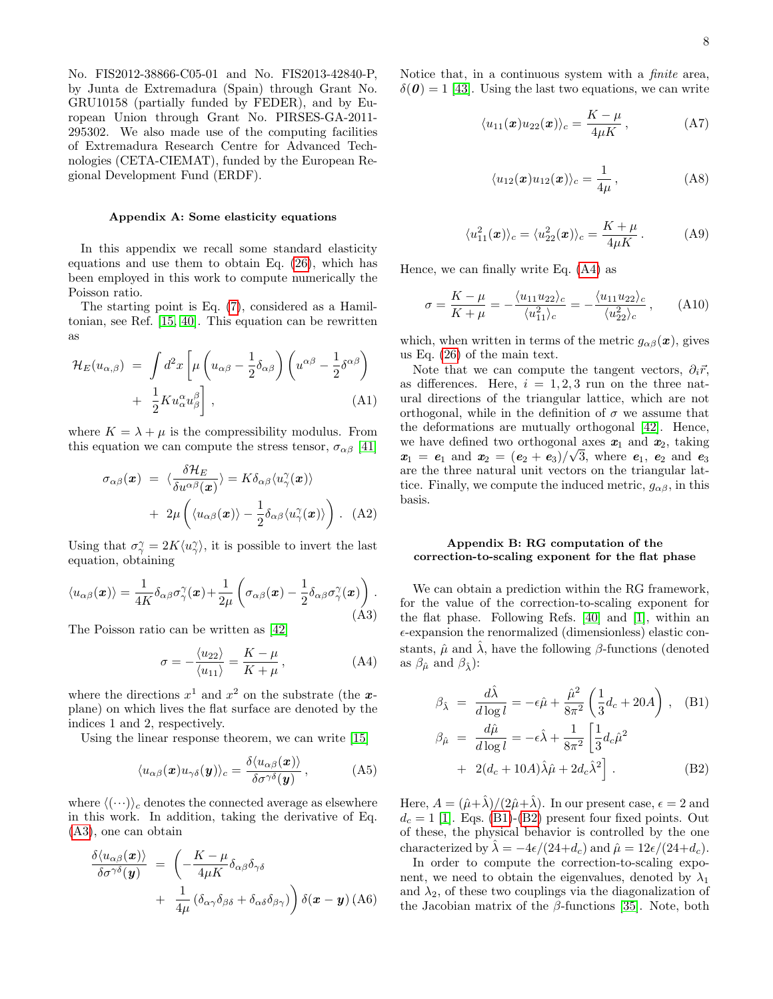No. FIS2012-38866-C05-01 and No. FIS2013-42840-P, by Junta de Extremadura (Spain) through Grant No. GRU10158 (partially funded by FEDER), and by European Union through Grant No. PIRSES-GA-2011- 295302. We also made use of the computing facilities of Extremadura Research Centre for Advanced Technologies (CETA-CIEMAT), funded by the European Regional Development Fund (ERDF).

### <span id="page-7-0"></span>Appendix A: Some elasticity equations

In this appendix we recall some standard elasticity equations and use them to obtain Eq. [\(26\)](#page-3-0), which has been employed in this work to compute numerically the Poisson ratio.

The starting point is Eq. [\(7\)](#page-1-1), considered as a Hamiltonian, see Ref. [\[15,](#page-8-14) [40\]](#page-9-11). This equation can be rewritten as

$$
\mathcal{H}_E(u_{\alpha,\beta}) = \int d^2x \left[ \mu \left( u_{\alpha\beta} - \frac{1}{2} \delta_{\alpha\beta} \right) \left( u^{\alpha\beta} - \frac{1}{2} \delta^{\alpha\beta} \right) + \frac{1}{2} K u_{\alpha}^{\alpha} u_{\beta}^{\beta} \right], \tag{A1}
$$

where  $K = \lambda + \mu$  is the compressibility modulus. From this equation we can compute the stress tensor,  $\sigma_{\alpha\beta}$  [\[41\]](#page-9-12)

$$
\sigma_{\alpha\beta}(\boldsymbol{x}) = \langle \frac{\delta \mathcal{H}_E}{\delta u^{\alpha\beta}(\boldsymbol{x})} \rangle = K \delta_{\alpha\beta} \langle u_\gamma^{\gamma}(\boldsymbol{x}) \rangle + 2\mu \left( \langle u_{\alpha\beta}(\boldsymbol{x}) \rangle - \frac{1}{2} \delta_{\alpha\beta} \langle u_\gamma^{\gamma}(\boldsymbol{x}) \rangle \right). \quad (A2)
$$

Using that  $\sigma_{\gamma}^{\gamma} = 2K \langle u_{\gamma}^{\gamma} \rangle$ , it is possible to invert the last equation, obtaining

<span id="page-7-1"></span>
$$
\langle u_{\alpha\beta}(\boldsymbol{x})\rangle = \frac{1}{4K} \delta_{\alpha\beta} \sigma_{\gamma}^{\gamma}(\boldsymbol{x}) + \frac{1}{2\mu} \left(\sigma_{\alpha\beta}(\boldsymbol{x}) - \frac{1}{2} \delta_{\alpha\beta} \sigma_{\gamma}^{\gamma}(\boldsymbol{x})\right).
$$
\n(A3)

The Poisson ratio can be written as [\[42\]](#page-9-13)

<span id="page-7-2"></span>
$$
\sigma = -\frac{\langle u_{22} \rangle}{\langle u_{11} \rangle} = \frac{K - \mu}{K + \mu},\tag{A4}
$$

where the directions  $x^1$  and  $x^2$  on the substrate (the xplane) on which lives the flat surface are denoted by the indices 1 and 2, respectively.

Using the linear response theorem, we can write [\[15\]](#page-8-14)

$$
\langle u_{\alpha\beta}(\boldsymbol{x})u_{\gamma\delta}(\boldsymbol{y})\rangle_c = \frac{\delta \langle u_{\alpha\beta}(\boldsymbol{x})\rangle}{\delta \sigma^{\gamma\delta}(\boldsymbol{y})},\tag{A5}
$$

where  $\langle (\cdots) \rangle_c$  denotes the connected average as elsewhere in this work. In addition, taking the derivative of Eq. [\(A3\)](#page-7-1), one can obtain

$$
\frac{\delta \langle u_{\alpha\beta}(\boldsymbol{x}) \rangle}{\delta \sigma^{\gamma\delta}(\boldsymbol{y})} = \left( -\frac{K - \mu}{4\mu K} \delta_{\alpha\beta} \delta_{\gamma\delta} + \frac{1}{4\mu} \left( \delta_{\alpha\gamma} \delta_{\beta\delta} + \delta_{\alpha\delta} \delta_{\beta\gamma} \right) \right) \delta(\boldsymbol{x} - \boldsymbol{y}) \, (A6)
$$

Notice that, in a continuous system with a finite area,  $\delta(\boldsymbol{\theta}) = 1$  [\[43\]](#page-9-14). Using the last two equations, we can write

$$
\langle u_{11}(\boldsymbol{x})u_{22}(\boldsymbol{x})\rangle_c = \frac{K-\mu}{4\mu K},\qquad (A7)
$$

$$
\langle u_{12}(\boldsymbol{x})u_{12}(\boldsymbol{x})\rangle_c = \frac{1}{4\mu},\qquad (A8)
$$

$$
\langle u_{11}^2(\boldsymbol{x})\rangle_c = \langle u_{22}^2(\boldsymbol{x})\rangle_c = \frac{K+\mu}{4\mu K}.
$$
 (A9)

Hence, we can finally write Eq. [\(A4\)](#page-7-2) as

$$
\sigma = \frac{K - \mu}{K + \mu} = -\frac{\langle u_{11} u_{22} \rangle_c}{\langle u_{11}^2 \rangle_c} = -\frac{\langle u_{11} u_{22} \rangle_c}{\langle u_{22}^2 \rangle_c}, \quad (A10)
$$

which, when written in terms of the metric  $g_{\alpha\beta}(\boldsymbol{x})$ , gives us Eq. [\(26\)](#page-3-0) of the main text.

Note that we can compute the tangent vectors,  $\partial_i \vec{r}$ , as differences. Here,  $i = 1, 2, 3$  run on the three natural directions of the triangular lattice, which are not orthogonal, while in the definition of  $\sigma$  we assume that the deformations are mutually orthogonal [\[42\]](#page-9-13). Hence, we have defined two orthogonal axes  $x_1$  and  $x_2$ , taking  $\mathbf{x}_1 = \mathbf{e}_1$  and  $\mathbf{x}_2 = (\mathbf{e}_2 + \mathbf{e}_3)/\sqrt{3}$ , where  $\mathbf{e}_1$ ,  $\mathbf{e}_2$  and  $\mathbf{e}_3$ are the three natural unit vectors on the triangular lattice. Finally, we compute the induced metric,  $g_{\alpha\beta}$ , in this basis.

### Appendix B: RG computation of the correction-to-scaling exponent for the flat phase

We can obtain a prediction within the RG framework, for the value of the correction-to-scaling exponent for the flat phase. Following Refs. [\[40\]](#page-9-11) and [\[1\]](#page-8-0), within an  $\epsilon$ -expansion the renormalized (dimensionless) elastic constants,  $\hat{\mu}$  and  $\hat{\lambda}$ , have the following  $\beta$ -functions (denoted as  $\beta_{\hat{\mu}}$  and  $\beta_{\hat{\lambda}}$ ):

<span id="page-7-3"></span>
$$
\beta_{\hat{\lambda}} = \frac{d\hat{\lambda}}{d \log l} = -\epsilon \hat{\mu} + \frac{\hat{\mu}^2}{8\pi^2} \left(\frac{1}{3}d_c + 20A\right), \quad \text{(B1)}
$$

$$
\beta_{\hat{\mu}} = \frac{d\hat{\mu}}{d \log l} = -\epsilon \hat{\lambda} + \frac{1}{8\pi^2} \left[\frac{1}{3}d_c\hat{\mu}^2\right]
$$

+ 
$$
2(d_c + 10A)\hat{\lambda}\hat{\mu} + 2d_c\hat{\lambda}^2
$$
 (B2)

Here,  $A = (\hat{\mu} + \hat{\lambda})/(2\hat{\mu} + \hat{\lambda})$ . In our present case,  $\epsilon = 2$  and  $d_c = 1$  [\[1\]](#page-8-0). Eqs. [\(B1\)](#page-7-3)-[\(B2\)](#page-7-3) present four fixed points. Out of these, the physical behavior is controlled by the one characterized by  $\lambda = -4\epsilon/(24+d_c)$  and  $\hat{\mu} = 12\epsilon/(24+d_c)$ .

In order to compute the correction-to-scaling exponent, we need to obtain the eigenvalues, denoted by  $\lambda_1$ and  $\lambda_2$ , of these two couplings via the diagonalization of the Jacobian matrix of the  $\beta$ -functions [\[35\]](#page-9-5). Note, both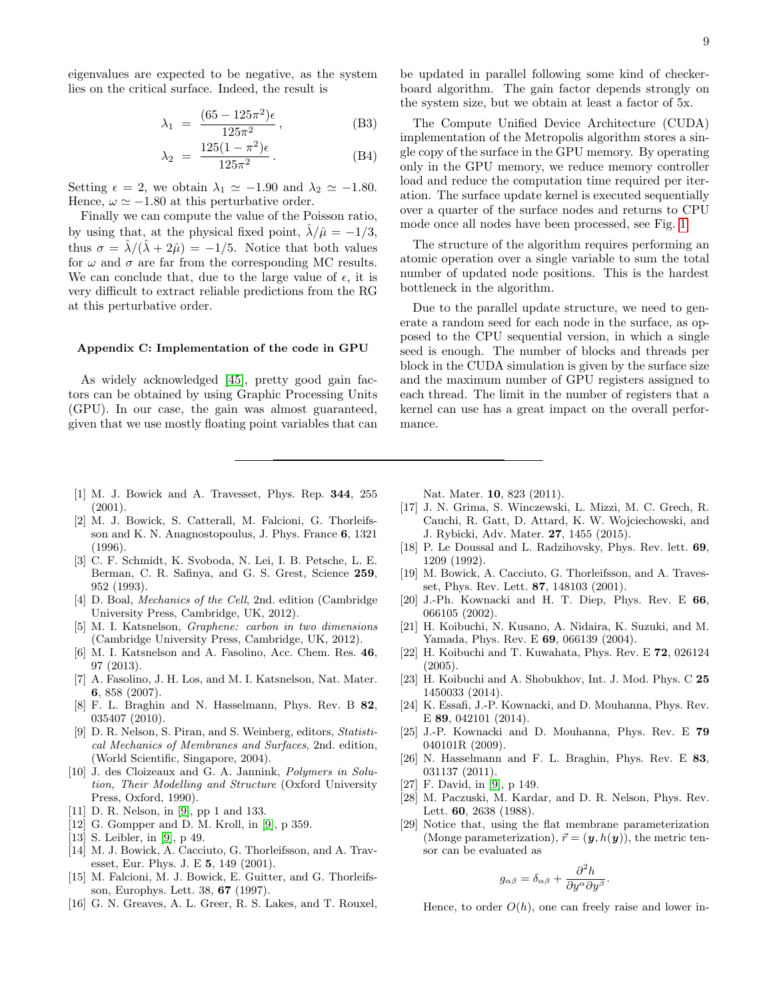eigenvalues are expected to be negative, as the system lies on the critical surface. Indeed, the result is

$$
\lambda_1 = \frac{(65 - 125\pi^2)\epsilon}{125\pi^2},
$$
 (B3)

$$
\lambda_2 = \frac{125(1 - \pi^2)\epsilon}{125\pi^2}.
$$
 (B4)

Setting  $\epsilon = 2$ , we obtain  $\lambda_1 \simeq -1.90$  and  $\lambda_2 \simeq -1.80$ . Hence,  $\omega \simeq -1.80$  at this perturbative order.

Finally we can compute the value of the Poisson ratio, by using that, at the physical fixed point,  $\hat{\lambda}/\hat{\mu} = -1/3$ , thus  $\sigma = \lambda/(\lambda + 2\hat{\mu}) = -1/5$ . Notice that both values for  $\omega$  and  $\sigma$  are far from the corresponding MC results. We can conclude that, due to the large value of  $\epsilon$ , it is very difficult to extract reliable predictions from the RG at this perturbative order.

### <span id="page-8-28"></span>Appendix C: Implementation of the code in GPU

As widely acknowledged [\[45\]](#page-9-15), pretty good gain factors can be obtained by using Graphic Processing Units (GPU). In our case, the gain was almost guaranteed, given that we use mostly floating point variables that can be updated in parallel following some kind of checkerboard algorithm. The gain factor depends strongly on the system size, but we obtain at least a factor of 5x.

The Compute Unified Device Architecture (CUDA) implementation of the Metropolis algorithm stores a single copy of the surface in the GPU memory. By operating only in the GPU memory, we reduce memory controller load and reduce the computation time required per iteration. The surface update kernel is executed sequentially over a quarter of the surface nodes and returns to CPU mode once all nodes have been processed, see Fig. [1.](#page-2-0)

The structure of the algorithm requires performing an atomic operation over a single variable to sum the total number of updated node positions. This is the hardest bottleneck in the algorithm.

Due to the parallel update structure, we need to generate a random seed for each node in the surface, as opposed to the CPU sequential version, in which a single seed is enough. The number of blocks and threads per block in the CUDA simulation is given by the surface size and the maximum number of GPU registers assigned to each thread. The limit in the number of registers that a kernel can use has a great impact on the overall performance.

- <span id="page-8-0"></span>[1] M. J. Bowick and A. Travesset, Phys. Rep. 344, 255 (2001).
- <span id="page-8-1"></span>[2] M. J. Bowick, S. Catterall, M. Falcioni, G. Thorleifsson and K. N. Anagnostopoulus, J. Phys. France 6, 1321 (1996).
- <span id="page-8-2"></span>[3] C. F. Schmidt, K. Svoboda, N. Lei, I. B. Petsche, L. E. Berman, C. R. Safinya, and G. S. Grest, Science 259, 952 (1993).
- <span id="page-8-3"></span>[4] D. Boal, *Mechanics of the Cell*, 2nd. edition (Cambridge) University Press, Cambridge, UK, 2012).
- <span id="page-8-4"></span>[5] M. I. Katsnelson, Graphene: carbon in two dimensions (Cambridge University Press, Cambridge, UK, 2012).
- <span id="page-8-5"></span>[6] M. I. Katsnelson and A. Fasolino, Acc. Chem. Res. 46, 97 (2013).
- <span id="page-8-6"></span>[7] A. Fasolino, J. H. Los, and M. I. Katsnelson, Nat. Mater. 6, 858 (2007).
- <span id="page-8-7"></span>[8] F. L. Braghin and N. Hasselmann, Phys. Rev. B 82, 035407 (2010).
- <span id="page-8-8"></span>[9] D. R. Nelson, S. Piran, and S. Weinberg, editors, Statistical Mechanics of Membranes and Surfaces, 2nd. edition, (World Scientific, Singapore, 2004).
- <span id="page-8-9"></span>[10] J. des Cloizeaux and G. A. Jannink, Polymers in Solution, Their Modelling and Structure (Oxford University Press, Oxford, 1990).
- <span id="page-8-10"></span>[11] D. R. Nelson, in [\[9\]](#page-8-8), pp 1 and 133.
- <span id="page-8-11"></span>[12] G. Gompper and D. M. Kroll, in [\[9\]](#page-8-8), p 359.
- <span id="page-8-12"></span>[13] S. Leibler, in [\[9\]](#page-8-8), p 49.
- <span id="page-8-13"></span>[14] M. J. Bowick, A. Cacciuto, G. Thorleifsson, and A. Travesset, Eur. Phys. J. E 5, 149 (2001).
- <span id="page-8-14"></span>[15] M. Falcioni, M. J. Bowick, E. Guitter, and G. Thorleifsson, Europhys. Lett. 38, 67 (1997).
- <span id="page-8-15"></span>[16] G. N. Greaves, A. L. Greer, R. S. Lakes, and T. Rouxel,

Nat. Mater. 10, 823 (2011).

- <span id="page-8-16"></span>[17] J. N. Grima, S. Winczewski, L. Mizzi, M. C. Grech, R. Cauchi, R. Gatt, D. Attard, K. W. Wojciechowski, and J. Rybicki, Adv. Mater. 27, 1455 (2015).
- <span id="page-8-17"></span>[18] P. Le Doussal and L. Radzihovsky, Phys. Rev. lett. 69, 1209 (1992).
- <span id="page-8-18"></span>[19] M. Bowick, A. Cacciuto, G. Thorleifsson, and A. Travesset, Phys. Rev. Lett. 87, 148103 (2001).
- <span id="page-8-19"></span>[20] J.-Ph. Kownacki and H. T. Diep, Phys. Rev. E 66, 066105 (2002).
- <span id="page-8-20"></span>[21] H. Koibuchi, N. Kusano, A. Nidaira, K. Suzuki, and M. Yamada, Phys. Rev. E 69, 066139 (2004).
- [22] H. Koibuchi and T. Kuwahata, Phys. Rev. E 72, 026124 (2005).
- <span id="page-8-21"></span>[23] H. Koibuchi and A. Shobukhov, Int. J. Mod. Phys. C 25 1450033 (2014).
- <span id="page-8-22"></span>[24] K. Essafi, J.-P. Kownacki, and D. Mouhanna, Phys. Rev. E 89, 042101 (2014).
- <span id="page-8-23"></span>[25] J.-P. Kownacki and D. Mouhanna, Phys. Rev. E 79 040101R (2009).
- <span id="page-8-24"></span>[26] N. Hasselmann and F. L. Braghin, Phys. Rev. E 83, 031137 (2011).
- <span id="page-8-25"></span>[27] F. David, in [\[9\]](#page-8-8), p 149.
- <span id="page-8-26"></span>[28] M. Paczuski, M. Kardar, and D. R. Nelson, Phys. Rev. Lett. 60, 2638 (1988).
- <span id="page-8-27"></span>[29] Notice that, using the flat membrane parameterization (Monge parameterization),  $\vec{r} = (\mathbf{y}, h(\mathbf{y}))$ , the metric tensor can be evaluated as

$$
g_{\alpha\beta} = \delta_{\alpha\beta} + \frac{\partial^2 h}{\partial y^\alpha \partial y^\beta}.
$$

Hence, to order  $O(h)$ , one can freely raise and lower in-